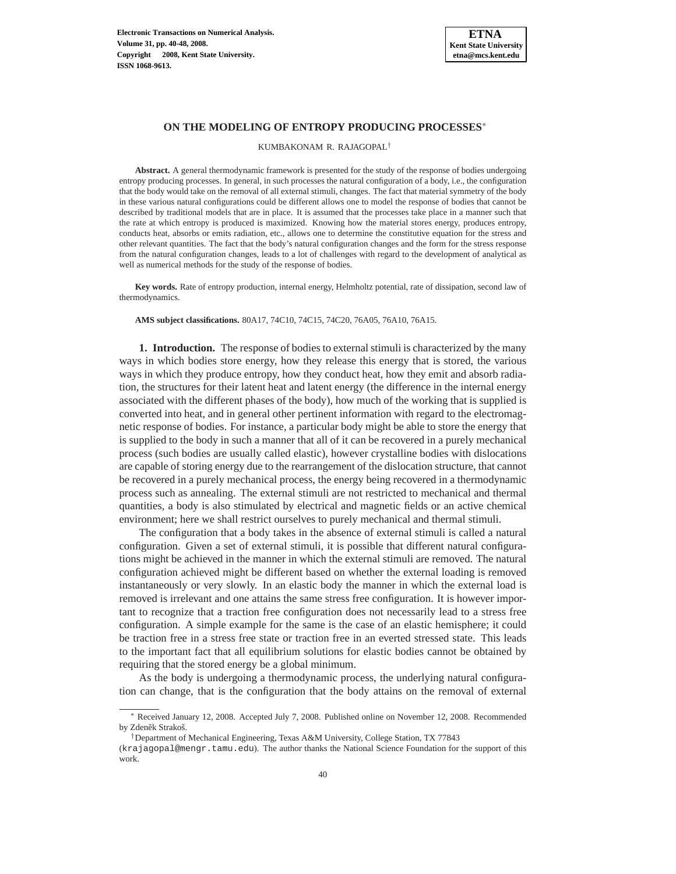

# **ON THE MODELING OF ENTROPY PRODUCING PROCESSES**<sup>∗</sup>

KUMBAKONAM R. RAJAGOPAL†

**Abstract.** A general thermodynamic framework is presented for the study of the response of bodies undergoing entropy producing processes. In general, in such processes the natural configuration of a body, i.e., the configuration that the body would take on the removal of all external stimuli, changes. The fact that material symmetry of the body in these various natural configurations could be different allows one to model the response of bodies that cannot be described by traditional models that are in place. It is assumed that the processes take place in a manner such that the rate at which entropy is produced is maximized. Knowing how the material stores energy, produces entropy, conducts heat, absorbs or emits radiation, etc., allows one to determine the constitutive equation for the stress and other relevant quantities. The fact that the body's natural configuration changes and the form for the stress response from the natural configuration changes, leads to a lot of challenges with regard to the development of analytical as well as numerical methods for the study of the response of bodies.

**Key words.** Rate of entropy production, internal energy, Helmholtz potential, rate of dissipation, second law of thermodynamics.

**AMS subject classifications.** 80A17, 74C10, 74C15, 74C20, 76A05, 76A10, 76A15.

**1. Introduction.** The response of bodies to external stimuli is characterized by the many ways in which bodies store energy, how they release this energy that is stored, the various ways in which they produce entropy, how they conduct heat, how they emit and absorb radiation, the structures for their latent heat and latent energy (the difference in the internal energy associated with the different phases of the body), how much of the working that is supplied is converted into heat, and in general other pertinent information with regard to the electromagnetic response of bodies. For instance, a particular body might be able to store the energy that is supplied to the body in such a manner that all of it can be recovered in a purely mechanical process (such bodies are usually called elastic), however crystalline bodies with dislocations are capable of storing energy due to the rearrangement of the dislocation structure, that cannot be recovered in a purely mechanical process, the energy being recovered in a thermodynamic process such as annealing. The external stimuli are not restricted to mechanical and thermal quantities, a body is also stimulated by electrical and magnetic fields or an active chemical environment; here we shall restrict ourselves to purely mechanical and thermal stimuli.

The configuration that a body takes in the absence of external stimuli is called a natural configuration. Given a set of external stimuli, it is possible that different natural configurations might be achieved in the manner in which the external stimuli are removed. The natural configuration achieved might be different based on whether the external loading is removed instantaneously or very slowly. In an elastic body the manner in which the external load is removed is irrelevant and one attains the same stress free configuration. It is however important to recognize that a traction free configuration does not necessarily lead to a stress free configuration. A simple example for the same is the case of an elastic hemisphere; it could be traction free in a stress free state or traction free in an everted stressed state. This leads to the important fact that all equilibrium solutions for elastic bodies cannot be obtained by requiring that the stored energy be a global minimum.

As the body is undergoing a thermodynamic process, the underlying natural configuration can change, that is the configuration that the body attains on the removal of external

<sup>∗</sup> Received January 12, 2008. Accepted July 7, 2008. Published online on November 12, 2008. Recommended by Zdeněk Strakoš.

<sup>†</sup>Department of Mechanical Engineering, Texas A&M University, College Station, TX 77843

<sup>(</sup>krajagopal@mengr.tamu.edu). The author thanks the National Science Foundation for the support of this work.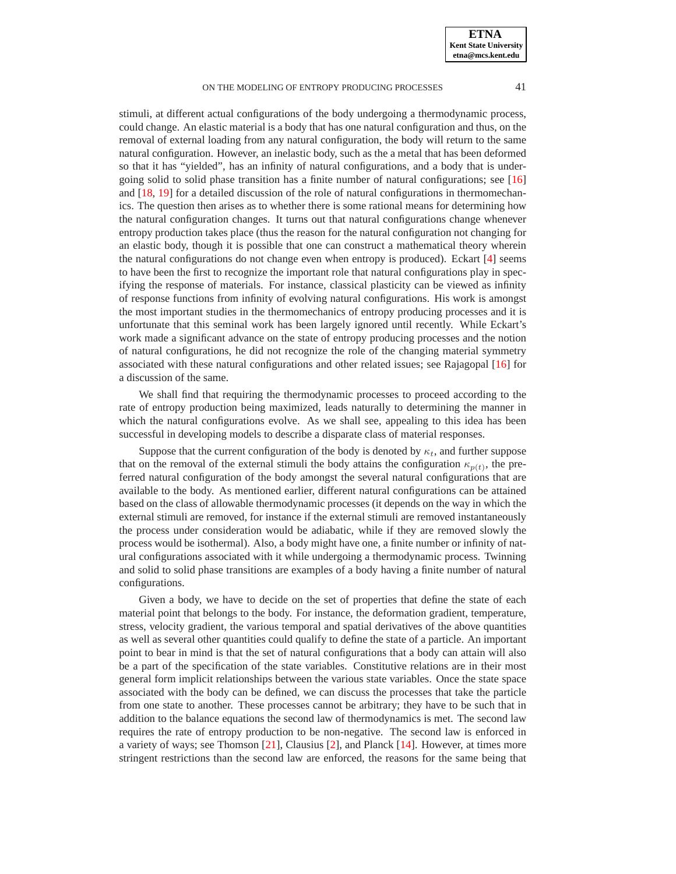#### ON THE MODELING OF ENTROPY PRODUCING PROCESSES 41

stimuli, at different actual configurations of the body undergoing a thermodynamic process, could change. An elastic material is a body that has one natural configuration and thus, on the removal of external loading from any natural configuration, the body will return to the same natural configuration. However, an inelastic body, such as the a metal that has been deformed so that it has "yielded", has an infinity of natural configurations, and a body that is undergoing solid to solid phase transition has a finite number of natural configurations; see [\[16\]](#page-7-0) and [\[18,](#page-7-1) [19\]](#page-7-2) for a detailed discussion of the role of natural configurations in thermomechanics. The question then arises as to whether there is some rational means for determining how the natural configuration changes. It turns out that natural configurations change whenever entropy production takes place (thus the reason for the natural configuration not changing for an elastic body, though it is possible that one can construct a mathematical theory wherein the natural configurations do not change even when entropy is produced). Eckart [\[4\]](#page-7-3) seems to have been the first to recognize the important role that natural configurations play in specifying the response of materials. For instance, classical plasticity can be viewed as infinity of response functions from infinity of evolving natural configurations. His work is amongst the most important studies in the thermomechanics of entropy producing processes and it is unfortunate that this seminal work has been largely ignored until recently. While Eckart's work made a significant advance on the state of entropy producing processes and the notion of natural configurations, he did not recognize the role of the changing material symmetry associated with these natural configurations and other related issues; see Rajagopal [\[16\]](#page-7-0) for a discussion of the same.

We shall find that requiring the thermodynamic processes to proceed according to the rate of entropy production being maximized, leads naturally to determining the manner in which the natural configurations evolve. As we shall see, appealing to this idea has been successful in developing models to describe a disparate class of material responses.

Suppose that the current configuration of the body is denoted by  $\kappa_t$ , and further suppose that on the removal of the external stimuli the body attains the configuration  $\kappa_{p(t)}$ , the preferred natural configuration of the body amongst the several natural configurations that are available to the body. As mentioned earlier, different natural configurations can be attained based on the class of allowable thermodynamic processes (it depends on the way in which the external stimuli are removed, for instance if the external stimuli are removed instantaneously the process under consideration would be adiabatic, while if they are removed slowly the process would be isothermal). Also, a body might have one, a finite number or infinity of natural configurations associated with it while undergoing a thermodynamic process. Twinning and solid to solid phase transitions are examples of a body having a finite number of natural configurations.

Given a body, we have to decide on the set of properties that define the state of each material point that belongs to the body. For instance, the deformation gradient, temperature, stress, velocity gradient, the various temporal and spatial derivatives of the above quantities as well as several other quantities could qualify to define the state of a particle. An important point to bear in mind is that the set of natural configurations that a body can attain will also be a part of the specification of the state variables. Constitutive relations are in their most general form implicit relationships between the various state variables. Once the state space associated with the body can be defined, we can discuss the processes that take the particle from one state to another. These processes cannot be arbitrary; they have to be such that in addition to the balance equations the second law of thermodynamics is met. The second law requires the rate of entropy production to be non-negative. The second law is enforced in a variety of ways; see Thomson [\[21\]](#page-8-0), Clausius [\[2\]](#page-7-4), and Planck [\[14\]](#page-7-5). However, at times more stringent restrictions than the second law are enforced, the reasons for the same being that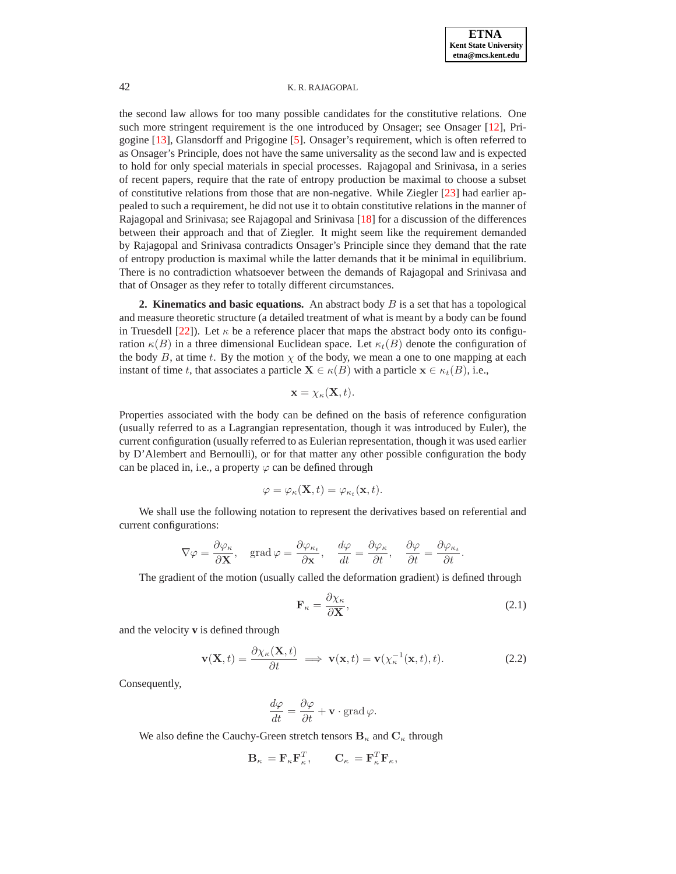the second law allows for too many possible candidates for the constitutive relations. One such more stringent requirement is the one introduced by Onsager; see Onsager [\[12\]](#page-7-6), Prigogine [\[13\]](#page-7-7), Glansdorff and Prigogine [\[5\]](#page-7-8). Onsager's requirement, which is often referred to as Onsager's Principle, does not have the same universality as the second law and is expected to hold for only special materials in special processes. Rajagopal and Srinivasa, in a series of recent papers, require that the rate of entropy production be maximal to choose a subset of constitutive relations from those that are non-negative. While Ziegler [\[23\]](#page-8-1) had earlier appealed to such a requirement, he did not use it to obtain constitutive relations in the manner of Rajagopal and Srinivasa; see Rajagopal and Srinivasa [\[18\]](#page-7-1) for a discussion of the differences between their approach and that of Ziegler. It might seem like the requirement demanded by Rajagopal and Srinivasa contradicts Onsager's Principle since they demand that the rate of entropy production is maximal while the latter demands that it be minimal in equilibrium. There is no contradiction whatsoever between the demands of Rajagopal and Srinivasa and that of Onsager as they refer to totally different circumstances.

**2. Kinematics and basic equations.** An abstract body  $B$  is a set that has a topological and measure theoretic structure (a detailed treatment of what is meant by a body can be found in Truesdell [\[22\]](#page-8-2)). Let  $\kappa$  be a reference placer that maps the abstract body onto its configuration  $\kappa(B)$  in a three dimensional Euclidean space. Let  $\kappa_t(B)$  denote the configuration of the body B, at time t. By the motion  $\chi$  of the body, we mean a one to one mapping at each instant of time t, that associates a particle  $X \in \kappa(B)$  with a particle  $x \in \kappa_t(B)$ , i.e.,

$$
\mathbf{x} = \chi_{\kappa}(\mathbf{X}, t).
$$

Properties associated with the body can be defined on the basis of reference configuration (usually referred to as a Lagrangian representation, though it was introduced by Euler), the current configuration (usually referred to as Eulerian representation, though it was used earlier by D'Alembert and Bernoulli), or for that matter any other possible configuration the body can be placed in, i.e., a property  $\varphi$  can be defined through

$$
\varphi = \varphi_{\kappa}(\mathbf{X},t) = \varphi_{\kappa_t}(\mathbf{x},t).
$$

We shall use the following notation to represent the derivatives based on referential and current configurations:

$$
\nabla \varphi = \frac{\partial \varphi_{\kappa}}{\partial \mathbf{X}}, \quad \text{grad } \varphi = \frac{\partial \varphi_{\kappa_t}}{\partial \mathbf{x}}, \quad \frac{d\varphi}{dt} = \frac{\partial \varphi_{\kappa}}{\partial t}, \quad \frac{\partial \varphi}{\partial t} = \frac{\partial \varphi_{\kappa_t}}{\partial t}.
$$

The gradient of the motion (usually called the deformation gradient) is defined through

<span id="page-2-1"></span><span id="page-2-0"></span>
$$
\mathbf{F}_{\kappa} = \frac{\partial \chi_{\kappa}}{\partial \mathbf{X}},\tag{2.1}
$$

and the velocity **v** is defined through

$$
\mathbf{v}(\mathbf{X},t) = \frac{\partial \chi_{\kappa}(\mathbf{X},t)}{\partial t} \implies \mathbf{v}(\mathbf{x},t) = \mathbf{v}(\chi_{\kappa}^{-1}(\mathbf{x},t),t). \tag{2.2}
$$

Consequently,

$$
\frac{d\varphi}{dt} = \frac{\partial\varphi}{\partial t} + \mathbf{v} \cdot \text{grad}\,\varphi.
$$

We also define the Cauchy-Green stretch tensors  $B_{\kappa}$  and  $C_{\kappa}$  through

$$
\mathbf{B}_{\kappa} = \mathbf{F}_{\kappa} \mathbf{F}_{\kappa}^{T}, \qquad \mathbf{C}_{\kappa} = \mathbf{F}_{\kappa}^{T} \mathbf{F}_{\kappa},
$$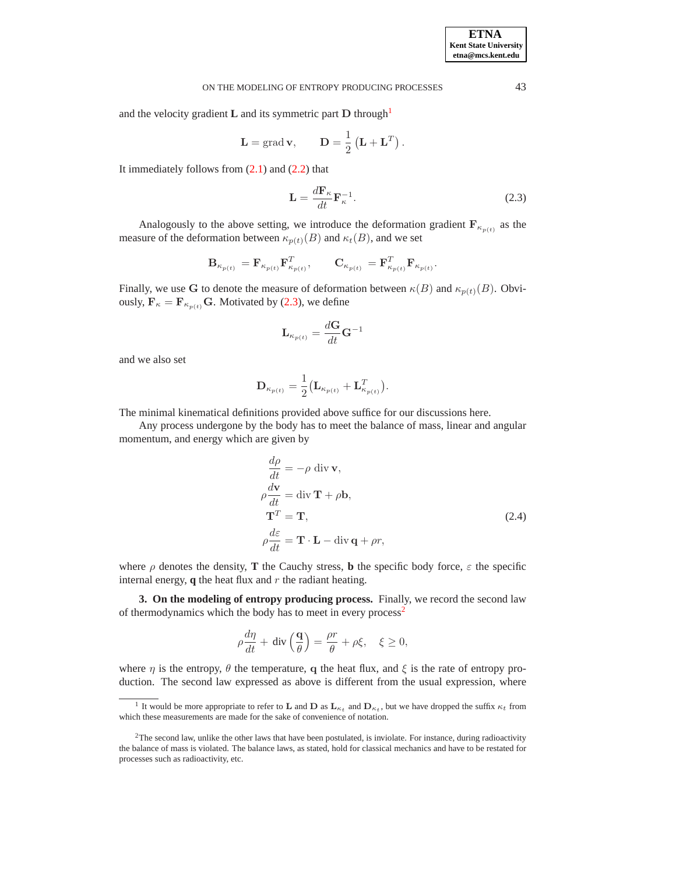### ON THE MODELING OF ENTROPY PRODUCING PROCESSES 43

and the velocity gradient  $\bf{L}$  and its symmetric part  $\bf{D}$  through<sup>[1](#page-3-0)</sup>

$$
\mathbf{L} = \text{grad}\,\mathbf{v}, \qquad \mathbf{D} = \frac{1}{2} \left( \mathbf{L} + \mathbf{L}^T \right).
$$

It immediately follows from  $(2.1)$  and  $(2.2)$  that

$$
\mathbf{L} = \frac{d\mathbf{F}_{\kappa}}{dt} \mathbf{F}_{\kappa}^{-1}.
$$
 (2.3)

Analogously to the above setting, we introduce the deformation gradient  $\mathbf{F}_{\kappa_{p(t)}}$  as the measure of the deformation between  $\kappa_{p(t)}(B)$  and  $\kappa_t(B)$ , and we set

<span id="page-3-1"></span>
$$
\mathbf{B}_{\kappa_{p(t)}} = \mathbf{F}_{\kappa_{p(t)}} \mathbf{F}_{\kappa_{p(t)}}^T, \qquad \mathbf{C}_{\kappa_{p(t)}} = \mathbf{F}_{\kappa_{p(t)}}^T \mathbf{F}_{\kappa_{p(t)}}.
$$

Finally, we use G to denote the measure of deformation between  $\kappa(B)$  and  $\kappa_{p(t)}(B)$ . Obviously,  $\mathbf{F}_{\kappa} = \mathbf{F}_{\kappa_{p(t)}} \mathbf{G}$ . Motivated by [\(2.3\)](#page-3-1), we define

$$
\mathbf{L}_{\kappa_{p(t)}} = \frac{d\mathbf{G}}{dt}\mathbf{G}^{-1}
$$

and we also set

$$
\mathbf{D}_{\kappa_{p(t)}} = \frac{1}{2} \big(\mathbf{L}_{\kappa_{p(t)}} + \mathbf{L}_{\kappa_{p(t)}}^T\big).
$$

The minimal kinematical definitions provided above suffice for our discussions here.

Any process undergone by the body has to meet the balance of mass, linear and angular momentum, and energy which are given by

<span id="page-3-3"></span>
$$
\frac{d\rho}{dt} = -\rho \operatorname{div} \mathbf{v},
$$
\n
$$
\rho \frac{d\mathbf{v}}{dt} = \operatorname{div} \mathbf{T} + \rho \mathbf{b},
$$
\n
$$
\mathbf{T}^T = \mathbf{T},
$$
\n
$$
\rho \frac{d\varepsilon}{dt} = \mathbf{T} \cdot \mathbf{L} - \operatorname{div} \mathbf{q} + \rho r,
$$
\n(2.4)

where  $\rho$  denotes the density, **T** the Cauchy stress, **b** the specific body force,  $\varepsilon$  the specific internal energy,  $q$  the heat flux and  $r$  the radiant heating.

**3. On the modeling of entropy producing process.** Finally, we record the second law of thermodynamics which the body has to meet in every process<sup>[2](#page-3-2)</sup>

$$
\rho \frac{d\eta}{dt} + \text{ div}\left(\frac{\mathbf{q}}{\theta}\right) = \frac{\rho r}{\theta} + \rho \xi, \quad \xi \ge 0,
$$

where  $\eta$  is the entropy,  $\theta$  the temperature, q the heat flux, and  $\xi$  is the rate of entropy production. The second law expressed as above is different from the usual expression, where

<span id="page-3-0"></span><sup>&</sup>lt;sup>1</sup> It would be more appropriate to refer to **L** and **D** as  $\mathbf{L}_{\kappa_t}$  and  $\mathbf{D}_{\kappa_t}$ , but we have dropped the suffix  $\kappa_t$  from which these measurements are made for the sake of convenience of notation.

<span id="page-3-2"></span> $2$ The second law, unlike the other laws that have been postulated, is inviolate. For instance, during radioactivity the balance of mass is violated. The balance laws, as stated, hold for classical mechanics and have to be restated for processes such as radioactivity, etc.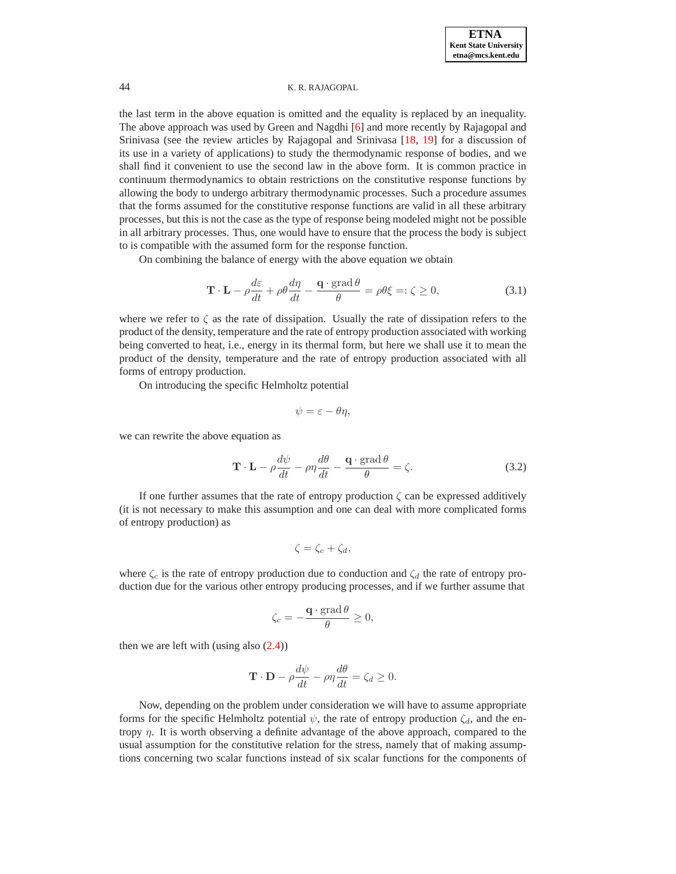the last term in the above equation is omitted and the equality is replaced by an inequality. The above approach was used by Green and Nagdhi [\[6\]](#page-7-9) and more recently by Rajagopal and Srinivasa (see the review articles by Rajagopal and Srinivasa [\[18,](#page-7-1) [19\]](#page-7-2) for a discussion of its use in a variety of applications) to study the thermodynamic response of bodies, and we shall find it convenient to use the second law in the above form. It is common practice in continuum thermodynamics to obtain restrictions on the constitutive response functions by allowing the body to undergo arbitrary thermodynamic processes. Such a procedure assumes that the forms assumed for the constitutive response functions are valid in all these arbitrary processes, but this is not the case as the type of response being modeled might not be possible in all arbitrary processes. Thus, one would have to ensure that the process the body is subject to is compatible with the assumed form for the response function.

<span id="page-4-1"></span>On combining the balance of energy with the above equation we obtain

$$
\mathbf{T} \cdot \mathbf{L} - \rho \frac{d\varepsilon}{dt} + \rho \theta \frac{d\eta}{dt} - \frac{\mathbf{q} \cdot \text{grad}\,\theta}{\theta} = \rho \theta \xi =: \zeta \ge 0,\tag{3.1}
$$

where we refer to  $\zeta$  as the rate of dissipation. Usually the rate of dissipation refers to the product of the density, temperature and the rate of entropy production associated with working being converted to heat, i.e., energy in its thermal form, but here we shall use it to mean the product of the density, temperature and the rate of entropy production associated with all forms of entropy production.

On introducing the specific Helmholtz potential

$$
\psi = \varepsilon - \theta \eta,
$$

<span id="page-4-0"></span>we can rewrite the above equation as

$$
\mathbf{T} \cdot \mathbf{L} - \rho \frac{d\psi}{dt} - \rho \eta \frac{d\theta}{dt} - \frac{\mathbf{q} \cdot \text{grad}\,\theta}{\theta} = \zeta.
$$
 (3.2)

If one further assumes that the rate of entropy production  $\zeta$  can be expressed additively (it is not necessary to make this assumption and one can deal with more complicated forms of entropy production) as

$$
\zeta = \zeta_c + \zeta_d,
$$

where  $\zeta_c$  is the rate of entropy production due to conduction and  $\zeta_d$  the rate of entropy production due for the various other entropy producing processes, and if we further assume that

$$
\zeta_c = -\frac{\mathbf{q} \cdot \text{grad}\,\theta}{\theta} \ge 0,
$$

then we are left with (using also  $(2.4)$ )

$$
\mathbf{T} \cdot \mathbf{D} - \rho \frac{d\psi}{dt} - \rho \eta \frac{d\theta}{dt} = \zeta_d \ge 0.
$$

Now, depending on the problem under consideration we will have to assume appropriate forms for the specific Helmholtz potential  $\psi$ , the rate of entropy production  $\zeta_d$ , and the entropy  $\eta$ . It is worth observing a definite advantage of the above approach, compared to the usual assumption for the constitutive relation for the stress, namely that of making assumptions concerning two scalar functions instead of six scalar functions for the components of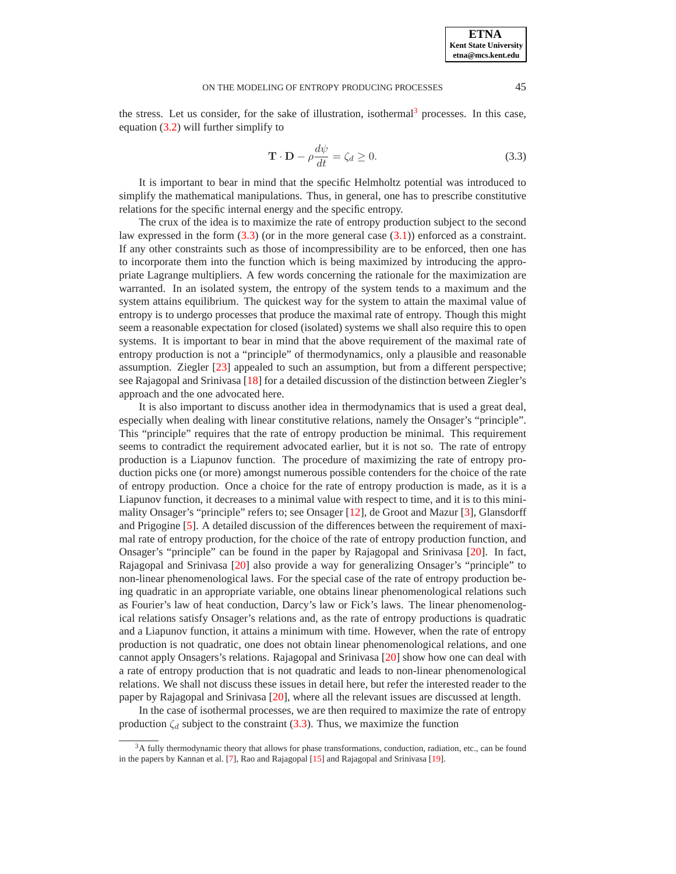### <span id="page-5-1"></span>ON THE MODELING OF ENTROPY PRODUCING PROCESSES 45

the stress. Let us consider, for the sake of illustration, isothermal<sup>[3](#page-5-0)</sup> processes. In this case, equation [\(3.2\)](#page-4-0) will further simplify to

$$
\mathbf{T} \cdot \mathbf{D} - \rho \frac{d\psi}{dt} = \zeta_d \ge 0. \tag{3.3}
$$

It is important to bear in mind that the specific Helmholtz potential was introduced to simplify the mathematical manipulations. Thus, in general, one has to prescribe constitutive relations for the specific internal energy and the specific entropy.

The crux of the idea is to maximize the rate of entropy production subject to the second law expressed in the form  $(3.3)$  (or in the more general case  $(3.1)$ ) enforced as a constraint. If any other constraints such as those of incompressibility are to be enforced, then one has to incorporate them into the function which is being maximized by introducing the appropriate Lagrange multipliers. A few words concerning the rationale for the maximization are warranted. In an isolated system, the entropy of the system tends to a maximum and the system attains equilibrium. The quickest way for the system to attain the maximal value of entropy is to undergo processes that produce the maximal rate of entropy. Though this might seem a reasonable expectation for closed (isolated) systems we shall also require this to open systems. It is important to bear in mind that the above requirement of the maximal rate of entropy production is not a "principle" of thermodynamics, only a plausible and reasonable assumption. Ziegler [\[23\]](#page-8-1) appealed to such an assumption, but from a different perspective; see Rajagopal and Srinivasa [\[18\]](#page-7-1) for a detailed discussion of the distinction between Ziegler's approach and the one advocated here.

It is also important to discuss another idea in thermodynamics that is used a great deal, especially when dealing with linear constitutive relations, namely the Onsager's "principle". This "principle" requires that the rate of entropy production be minimal. This requirement seems to contradict the requirement advocated earlier, but it is not so. The rate of entropy production is a Liapunov function. The procedure of maximizing the rate of entropy production picks one (or more) amongst numerous possible contenders for the choice of the rate of entropy production. Once a choice for the rate of entropy production is made, as it is a Liapunov function, it decreases to a minimal value with respect to time, and it is to this minimality Onsager's "principle" refers to; see Onsager [\[12\]](#page-7-6), de Groot and Mazur [\[3\]](#page-7-10), Glansdorff and Prigogine [\[5\]](#page-7-8). A detailed discussion of the differences between the requirement of maximal rate of entropy production, for the choice of the rate of entropy production function, and Onsager's "principle" can be found in the paper by Rajagopal and Srinivasa [\[20\]](#page-8-3). In fact, Rajagopal and Srinivasa [\[20\]](#page-8-3) also provide a way for generalizing Onsager's "principle" to non-linear phenomenological laws. For the special case of the rate of entropy production being quadratic in an appropriate variable, one obtains linear phenomenological relations such as Fourier's law of heat conduction, Darcy's law or Fick's laws. The linear phenomenological relations satisfy Onsager's relations and, as the rate of entropy productions is quadratic and a Liapunov function, it attains a minimum with time. However, when the rate of entropy production is not quadratic, one does not obtain linear phenomenological relations, and one cannot apply Onsagers's relations. Rajagopal and Srinivasa [\[20\]](#page-8-3) show how one can deal with a rate of entropy production that is not quadratic and leads to non-linear phenomenological relations. We shall not discuss these issues in detail here, but refer the interested reader to the paper by Rajagopal and Srinivasa [\[20\]](#page-8-3), where all the relevant issues are discussed at length.

In the case of isothermal processes, we are then required to maximize the rate of entropy production  $\zeta_d$  subject to the constraint [\(3.3\)](#page-5-1). Thus, we maximize the function

<span id="page-5-0"></span><sup>&</sup>lt;sup>3</sup>A fully thermodynamic theory that allows for phase transformations, conduction, radiation, etc., can be found in the papers by Kannan et al. [\[7\]](#page-7-11), Rao and Rajagopal [\[15\]](#page-7-12) and Rajagopal and Srinivasa [\[19\]](#page-7-2).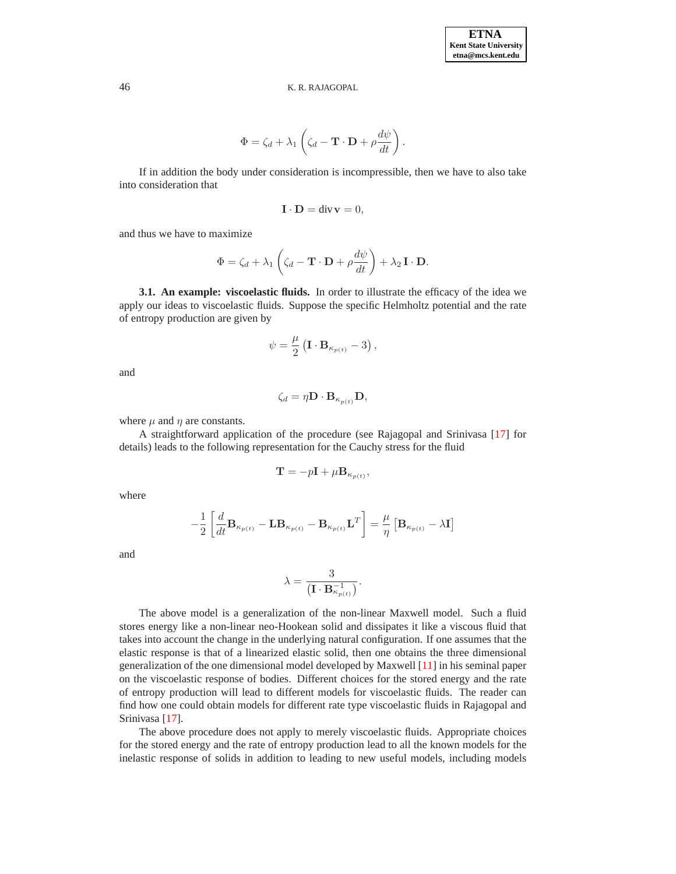$$
\Phi = \zeta_d + \lambda_1 \left( \zeta_d - \mathbf{T} \cdot \mathbf{D} + \rho \frac{d\psi}{dt} \right).
$$

If in addition the body under consideration is incompressible, then we have to also take into consideration that

$$
\mathbf{I} \cdot \mathbf{D} = \text{div}\,\mathbf{v} = 0,
$$

and thus we have to maximize

$$
\Phi = \zeta_d + \lambda_1 \left( \zeta_d - \mathbf{T} \cdot \mathbf{D} + \rho \frac{d\psi}{dt} \right) + \lambda_2 \mathbf{I} \cdot \mathbf{D}.
$$

**3.1. An example: viscoelastic fluids.** In order to illustrate the efficacy of the idea we apply our ideas to viscoelastic fluids. Suppose the specific Helmholtz potential and the rate of entropy production are given by

$$
\psi = \frac{\mu}{2} \left( \mathbf{I} \cdot \mathbf{B}_{\kappa_{p(t)}} - 3 \right),\,
$$

and

$$
\zeta_d = \eta \mathbf{D} \cdot \mathbf{B}_{\kappa_{p(t)}} \mathbf{D},
$$

where  $\mu$  and  $\eta$  are constants.

A straightforward application of the procedure (see Rajagopal and Srinivasa [\[17\]](#page-7-13) for details) leads to the following representation for the Cauchy stress for the fluid

$$
\mathbf{T} = -p\mathbf{I} + \mu \mathbf{B}_{\kappa_{p(t)}},
$$

where

$$
-\frac{1}{2}\left[\frac{d}{dt}\mathbf{B}_{\kappa_{p(t)}} - \mathbf{L}\mathbf{B}_{\kappa_{p(t)}} - \mathbf{B}_{\kappa_{p(t)}}\mathbf{L}^T\right] = \frac{\mu}{\eta}\left[\mathbf{B}_{\kappa_{p(t)}} - \lambda\mathbf{I}\right]
$$

and

$$
\lambda = \frac{3}{\left(\mathbf{I} \cdot \mathbf{B}_{\kappa_{p(t)}}^{-1}\right)}.
$$

The above model is a generalization of the non-linear Maxwell model. Such a fluid stores energy like a non-linear neo-Hookean solid and dissipates it like a viscous fluid that takes into account the change in the underlying natural configuration. If one assumes that the elastic response is that of a linearized elastic solid, then one obtains the three dimensional generalization of the one dimensional model developed by Maxwell [\[11\]](#page-7-14) in his seminal paper on the viscoelastic response of bodies. Different choices for the stored energy and the rate of entropy production will lead to different models for viscoelastic fluids. The reader can find how one could obtain models for different rate type viscoelastic fluids in Rajagopal and Srinivasa [\[17\]](#page-7-13).

The above procedure does not apply to merely viscoelastic fluids. Appropriate choices for the stored energy and the rate of entropy production lead to all the known models for the inelastic response of solids in addition to leading to new useful models, including models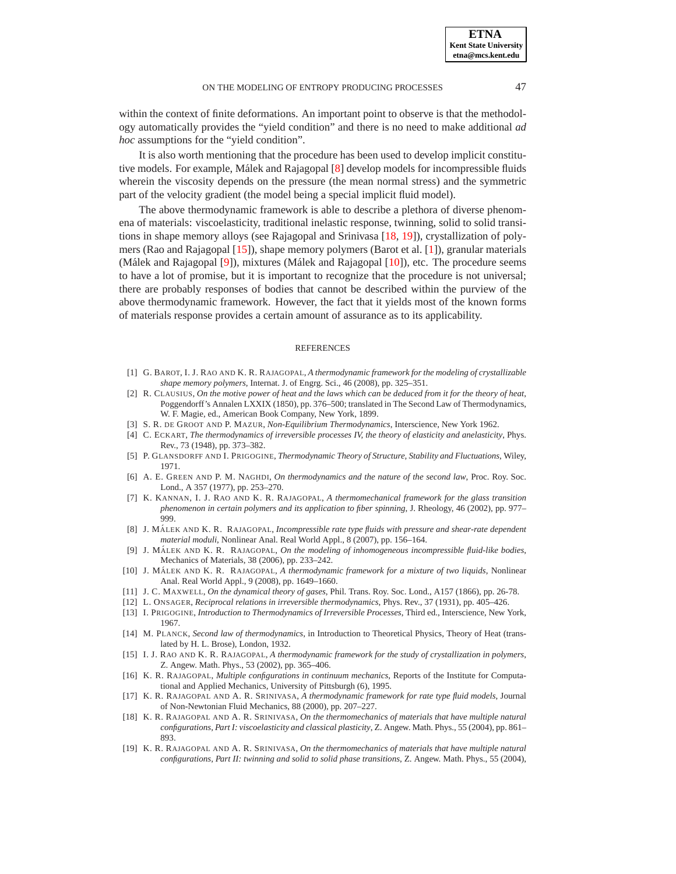within the context of finite deformations. An important point to observe is that the methodology automatically provides the "yield condition" and there is no need to make additional *ad*

It is also worth mentioning that the procedure has been used to develop implicit constitu-tive models. For example, Málek and Rajagopal [[8\]](#page-7-15) develop models for incompressible fluids wherein the viscosity depends on the pressure (the mean normal stress) and the symmetric part of the velocity gradient (the model being a special implicit fluid model).

*hoc* assumptions for the "yield condition".

The above thermodynamic framework is able to describe a plethora of diverse phenomena of materials: viscoelasticity, traditional inelastic response, twinning, solid to solid transitions in shape memory alloys (see Rajagopal and Srinivasa [\[18,](#page-7-1) [19\]](#page-7-2)), crystallization of polymers (Rao and Rajagopal [\[15\]](#page-7-12)), shape memory polymers (Barot et al. [\[1\]](#page-7-16)), granular materials (Málek and Rajagopal [[9\]](#page-7-17)), mixtures (Málek and Rajagopal [[10\]](#page-7-18)), etc. The procedure seems to have a lot of promise, but it is important to recognize that the procedure is not universal; there are probably responses of bodies that cannot be described within the purview of the above thermodynamic framework. However, the fact that it yields most of the known forms of materials response provides a certain amount of assurance as to its applicability.

#### **REFERENCES**

- <span id="page-7-16"></span>[1] G. BAROT, I. J. RAO AND K. R. RAJAGOPAL, *A thermodynamic framework for the modeling of crystallizable shape memory polymers*, Internat. J. of Engrg. Sci., 46 (2008), pp. 325–351.
- <span id="page-7-4"></span>[2] R. CLAUSIUS, *On the motive power of heat and the laws which can be deduced from it for the theory of heat*, Poggendorff's Annalen LXXIX (1850), pp. 376–500; translated in The Second Law of Thermodynamics, W. F. Magie, ed., American Book Company, New York, 1899.
- <span id="page-7-10"></span>[3] S. R. DE GROOT AND P. MAZUR, *Non-Equilibrium Thermodynamics*, Interscience, New York 1962.
- <span id="page-7-8"></span><span id="page-7-3"></span>[4] C. ECKART, *The thermodynamics of irreversible processes IV, the theory of elasticity and anelasticity*, Phys. Rev., 73 (1948), pp. 373–382.
- [5] P. GLANSDORFF AND I. PRIGOGINE, *Thermodynamic Theory of Structure, Stability and Fluctuations*, Wiley, 1971.
- <span id="page-7-9"></span>[6] A. E. GREEN AND P. M. NAGHDI, *On thermodynamics and the nature of the second law*, Proc. Roy. Soc. Lond., A 357 (1977), pp. 253–270.
- <span id="page-7-11"></span>[7] K. KANNAN, I. J. RAO AND K. R. RAJAGOPAL, *A thermomechanical framework for the glass transition phenomenon in certain polymers and its application to fiber spinning*, J. Rheology, 46 (2002), pp. 977– 999.
- <span id="page-7-15"></span>[8] J. MÁLEK AND K. R. RAJAGOPAL, *Incompressible rate type fluids with pressure and shear-rate dependent material moduli*, Nonlinear Anal. Real World Appl., 8 (2007), pp. 156–164.
- <span id="page-7-17"></span>[9] J. MÁLEK AND K. R. RAJAGOPAL, *On the modeling of inhomogeneous incompressible fluid-like bodies*, Mechanics of Materials, 38 (2006), pp. 233–242.
- <span id="page-7-18"></span>[10] J. MÁLEK AND K. R. RAJAGOPAL, *A thermodynamic framework for a mixture of two liquids*, Nonlinear Anal. Real World Appl., 9 (2008), pp. 1649–1660.
- <span id="page-7-14"></span><span id="page-7-6"></span>[11] J. C. MAXWELL, *On the dynamical theory of gases*, Phil. Trans. Roy. Soc. Lond., A157 (1866), pp. 26-78.
- <span id="page-7-7"></span>[12] L. ONSAGER, *Reciprocal relations in irreversible thermodynamics*, Phys. Rev., 37 (1931), pp. 405–426.
- [13] I. PRIGOGINE, *Introduction to Thermodynamics of Irreversible Processes*, Third ed., Interscience, New York, 1967.
- <span id="page-7-5"></span>[14] M. PLANCK, *Second law of thermodynamics*, in Introduction to Theoretical Physics, Theory of Heat (translated by H. L. Brose), London, 1932.
- <span id="page-7-12"></span>[15] I. J. RAO AND K. R. RAJAGOPAL, *A thermodynamic framework for the study of crystallization in polymers*, Z. Angew. Math. Phys., 53 (2002), pp. 365–406.
- <span id="page-7-0"></span>[16] K. R. RAJAGOPAL, *Multiple configurations in continuum mechanics*, Reports of the Institute for Computational and Applied Mechanics, University of Pittsburgh (6), 1995.
- <span id="page-7-13"></span>[17] K. R. RAJAGOPAL AND A. R. SRINIVASA, *A thermodynamic framework for rate type fluid models*, Journal of Non-Newtonian Fluid Mechanics, 88 (2000), pp. 207–227.
- <span id="page-7-1"></span>[18] K. R. RAJAGOPAL AND A. R. SRINIVASA, *On the thermomechanics of materials that have multiple natural configurations, Part I: viscoelasticity and classical plasticity*, Z. Angew. Math. Phys., 55 (2004), pp. 861– 893.
- <span id="page-7-2"></span>[19] K. R. RAJAGOPAL AND A. R. SRINIVASA, *On the thermomechanics of materials that have multiple natural configurations, Part II: twinning and solid to solid phase transitions*, Z. Angew. Math. Phys., 55 (2004),